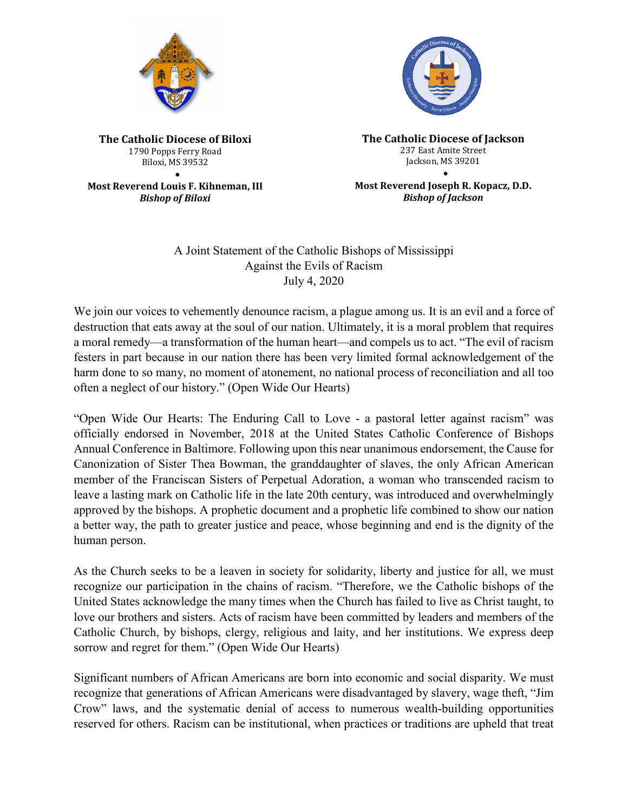



**The Catholic Diocese of Biloxi** 1790 Popps Ferry Road Biloxi, MS 39532 •

**Most Reverend Louis F. Kihneman, III** *Bishop of Biloxi*

**The Catholic Diocese of Jackson** 237 East Amite Street Jackson, MS 39201 •

**Most Reverend Joseph R. Kopacz, D.D.** *Bishop of Jackson*

## A Joint Statement of the Catholic Bishops of Mississippi Against the Evils of Racism July 4, 2020

We join our voices to vehemently denounce racism, a plague among us. It is an evil and a force of destruction that eats away at the soul of our nation. Ultimately, it is a moral problem that requires a moral remedy—a transformation of the human heart—and compels us to act. "The evil of racism festers in part because in our nation there has been very limited formal acknowledgement of the harm done to so many, no moment of atonement, no national process of reconciliation and all too often a neglect of our history." (Open Wide Our Hearts)

"Open Wide Our Hearts: The Enduring Call to Love - a pastoral letter against racism" was officially endorsed in November, 2018 at the United States Catholic Conference of Bishops Annual Conference in Baltimore. Following upon this near unanimous endorsement, the Cause for Canonization of Sister Thea Bowman, the granddaughter of slaves, the only African American member of the Franciscan Sisters of Perpetual Adoration, a woman who transcended racism to leave a lasting mark on Catholic life in the late 20th century, was introduced and overwhelmingly approved by the bishops. A prophetic document and a prophetic life combined to show our nation a better way, the path to greater justice and peace, whose beginning and end is the dignity of the human person.

As the Church seeks to be a leaven in society for solidarity, liberty and justice for all, we must recognize our participation in the chains of racism. "Therefore, we the Catholic bishops of the United States acknowledge the many times when the Church has failed to live as Christ taught, to love our brothers and sisters. Acts of racism have been committed by leaders and members of the Catholic Church, by bishops, clergy, religious and laity, and her institutions. We express deep sorrow and regret for them." (Open Wide Our Hearts)

Significant numbers of African Americans are born into economic and social disparity. We must recognize that generations of African Americans were disadvantaged by slavery, wage theft, "Jim Crow" laws, and the systematic denial of access to numerous wealth-building opportunities reserved for others. Racism can be institutional, when practices or traditions are upheld that treat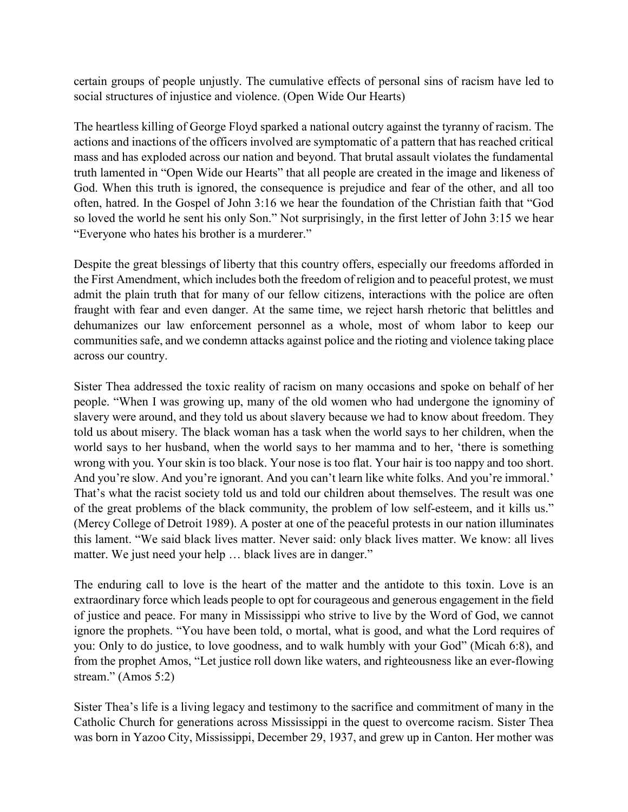certain groups of people unjustly. The cumulative effects of personal sins of racism have led to social structures of injustice and violence. (Open Wide Our Hearts)

The heartless killing of George Floyd sparked a national outcry against the tyranny of racism. The actions and inactions of the officers involved are symptomatic of a pattern that has reached critical mass and has exploded across our nation and beyond. That brutal assault violates the fundamental truth lamented in "Open Wide our Hearts" that all people are created in the image and likeness of God. When this truth is ignored, the consequence is prejudice and fear of the other, and all too often, hatred. In the Gospel of John 3:16 we hear the foundation of the Christian faith that "God so loved the world he sent his only Son." Not surprisingly, in the first letter of John 3:15 we hear "Everyone who hates his brother is a murderer."

Despite the great blessings of liberty that this country offers, especially our freedoms afforded in the First Amendment, which includes both the freedom of religion and to peaceful protest, we must admit the plain truth that for many of our fellow citizens, interactions with the police are often fraught with fear and even danger. At the same time, we reject harsh rhetoric that belittles and dehumanizes our law enforcement personnel as a whole, most of whom labor to keep our communities safe, and we condemn attacks against police and the rioting and violence taking place across our country.

Sister Thea addressed the toxic reality of racism on many occasions and spoke on behalf of her people. "When I was growing up, many of the old women who had undergone the ignominy of slavery were around, and they told us about slavery because we had to know about freedom. They told us about misery. The black woman has a task when the world says to her children, when the world says to her husband, when the world says to her mamma and to her, 'there is something wrong with you. Your skin is too black. Your nose is too flat. Your hair is too nappy and too short. And you're slow. And you're ignorant. And you can't learn like white folks. And you're immoral.' That's what the racist society told us and told our children about themselves. The result was one of the great problems of the black community, the problem of low self-esteem, and it kills us." (Mercy College of Detroit 1989). A poster at one of the peaceful protests in our nation illuminates this lament. "We said black lives matter. Never said: only black lives matter. We know: all lives matter. We just need your help ... black lives are in danger."

The enduring call to love is the heart of the matter and the antidote to this toxin. Love is an extraordinary force which leads people to opt for courageous and generous engagement in the field of justice and peace. For many in Mississippi who strive to live by the Word of God, we cannot ignore the prophets. "You have been told, o mortal, what is good, and what the Lord requires of you: Only to do justice, to love goodness, and to walk humbly with your God" (Micah 6:8), and from the prophet Amos, "Let justice roll down like waters, and righteousness like an ever-flowing stream." (Amos 5:2)

Sister Thea's life is a living legacy and testimony to the sacrifice and commitment of many in the Catholic Church for generations across Mississippi in the quest to overcome racism. Sister Thea was born in Yazoo City, Mississippi, December 29, 1937, and grew up in Canton. Her mother was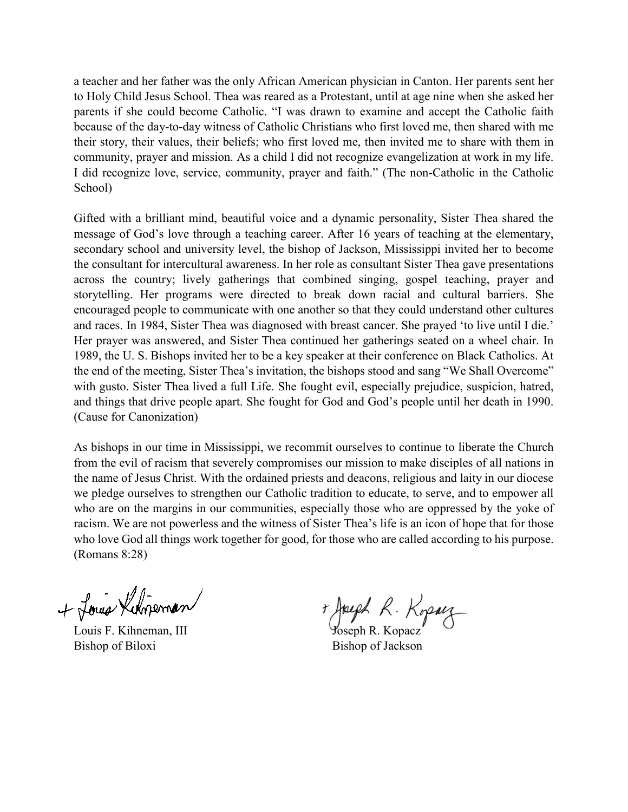a teacher and her father was the only African American physician in Canton. Her parents sent her to Holy Child Jesus School. Thea was reared as a Protestant, until at age nine when she asked her parents if she could become Catholic. "I was drawn to examine and accept the Catholic faith because of the day-to-day witness of Catholic Christians who first loved me, then shared with me their story, their values, their beliefs; who first loved me, then invited me to share with them in community, prayer and mission. As a child I did not recognize evangelization at work in my life. I did recognize love, service, community, prayer and faith." (The non-Catholic in the Catholic School)

Gifted with a brilliant mind, beautiful voice and a dynamic personality, Sister Thea shared the message of God's love through a teaching career. After 16 years of teaching at the elementary, secondary school and university level, the bishop of Jackson, Mississippi invited her to become the consultant for intercultural awareness. In her role as consultant Sister Thea gave presentations across the country; lively gatherings that combined singing, gospel teaching, prayer and storytelling. Her programs were directed to break down racial and cultural barriers. She encouraged people to communicate with one another so that they could understand other cultures and races. In 1984, Sister Thea was diagnosed with breast cancer. She prayed 'to live until I die.' Her prayer was answered, and Sister Thea continued her gatherings seated on a wheel chair. In 1989, the U. S. Bishops invited her to be a key speaker at their conference on Black Catholics. At the end of the meeting, Sister Thea's invitation, the bishops stood and sang "We Shall Overcome" with gusto. Sister Thea lived a full Life. She fought evil, especially prejudice, suspicion, hatred, and things that drive people apart. She fought for God and God's people until her death in 1990. (Cause for Canonization)

As bishops in our time in Mississippi, we recommit ourselves to continue to liberate the Church from the evil of racism that severely compromises our mission to make disciples of all nations in the name of Jesus Christ. With the ordained priests and deacons, religious and laity in our diocese we pledge ourselves to strengthen our Catholic tradition to educate, to serve, and to empower all who are on the margins in our communities, especially those who are oppressed by the yoke of racism. We are not powerless and the witness of Sister Thea's life is an icon of hope that for those who love God all things work together for good, for those who are called according to his purpose. (Romans 8:28)

+ Louis Kingerman

Bishop of Biloxi Bishop of Jackson

Louis F. Kihneman, III Joseph R. Kopacz